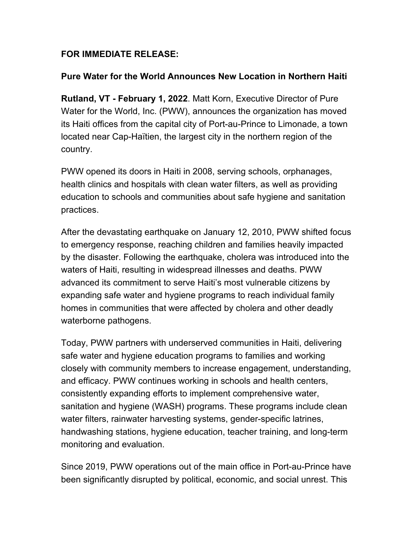## **FOR IMMEDIATE RELEASE:**

## **Pure Water for the World Announces New Location in Northern Haiti**

**Rutland, VT - February 1, 2022**. Matt Korn, Executive Director of Pure Water for the World, Inc. (PWW), announces the organization has moved its Haiti offices from the capital city of Port-au-Prince to Limonade, a town located near Cap-Haïtien, the largest city in the northern region of the country.

PWW opened its doors in Haiti in 2008, serving schools, orphanages, health clinics and hospitals with clean water filters, as well as providing education to schools and communities about safe hygiene and sanitation practices.

After the devastating earthquake on January 12, 2010, PWW shifted focus to emergency response, reaching children and families heavily impacted by the disaster. Following the earthquake, cholera was introduced into the waters of Haiti, resulting in widespread illnesses and deaths. PWW advanced its commitment to serve Haiti's most vulnerable citizens by expanding safe water and hygiene programs to reach individual family homes in communities that were affected by cholera and other deadly waterborne pathogens.

Today, PWW partners with underserved communities in Haiti, delivering safe water and hygiene education programs to families and working closely with community members to increase engagement, understanding, and efficacy. PWW continues working in schools and health centers, consistently expanding efforts to implement comprehensive water, sanitation and hygiene (WASH) programs. These programs include clean water filters, rainwater harvesting systems, gender-specific latrines, handwashing stations, hygiene education, teacher training, and long-term monitoring and evaluation.

Since 2019, PWW operations out of the main office in Port-au-Prince have been significantly disrupted by political, economic, and social unrest. This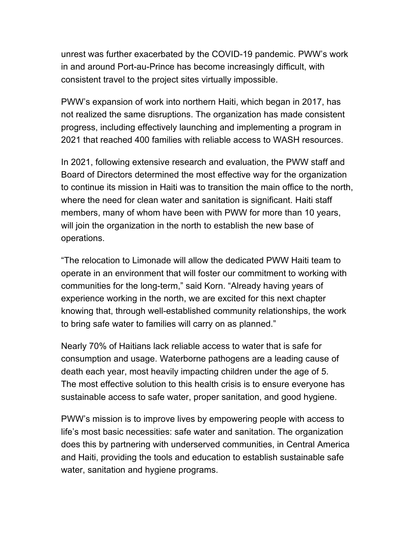unrest was further exacerbated by the COVID-19 pandemic. PWW's work in and around Port-au-Prince has become increasingly difficult, with consistent travel to the project sites virtually impossible.

PWW's expansion of work into northern Haiti, which began in 2017, has not realized the same disruptions. The organization has made consistent progress, including effectively launching and implementing a program in 2021 that reached 400 families with reliable access to WASH resources.

In 2021, following extensive research and evaluation, the PWW staff and Board of Directors determined the most effective way for the organization to continue its mission in Haiti was to transition the main office to the north, where the need for clean water and sanitation is significant. Haiti staff members, many of whom have been with PWW for more than 10 years, will join the organization in the north to establish the new base of operations.

"The relocation to Limonade will allow the dedicated PWW Haiti team to operate in an environment that will foster our commitment to working with communities for the long-term," said Korn. "Already having years of experience working in the north, we are excited for this next chapter knowing that, through well-established community relationships, the work to bring safe water to families will carry on as planned."

Nearly 70% of Haitians lack reliable access to water that is safe for consumption and usage. Waterborne pathogens are a leading cause of death each year, most heavily impacting children under the age of 5. The most effective solution to this health crisis is to ensure everyone has sustainable access to safe water, proper sanitation, and good hygiene.

PWW's mission is to improve lives by empowering people with access to life's most basic necessities: safe water and sanitation. The organization does this by partnering with underserved communities, in Central America and Haiti, providing the tools and education to establish sustainable safe water, sanitation and hygiene programs.